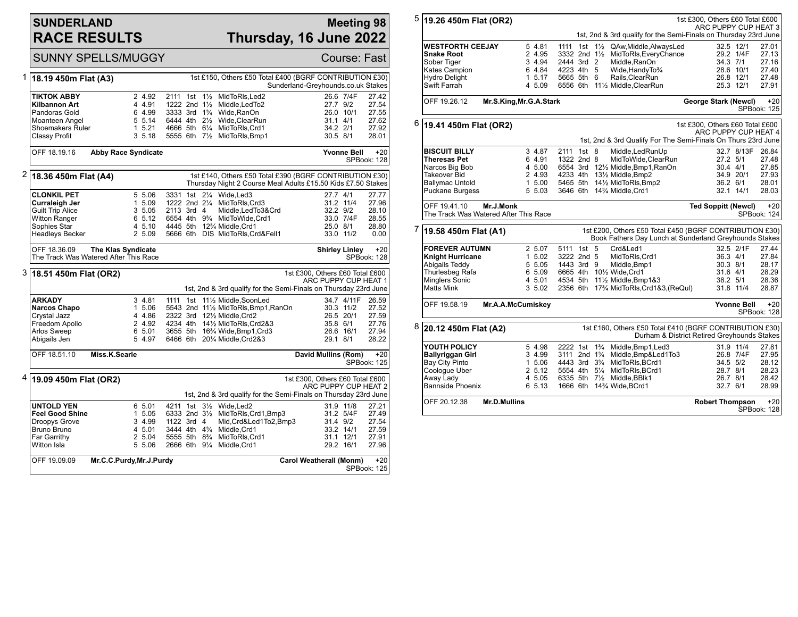## **SUNDERLAND RACE RESULTS**

# **Meeting 98 Thursday, 16 June 2022**

|   |                                           | <b>SUNNY SPELLS/MUGGY</b>                                   |                                        |                                                                                                                         |                                    |                         | <b>Course: Fast</b>  |
|---|-------------------------------------------|-------------------------------------------------------------|----------------------------------------|-------------------------------------------------------------------------------------------------------------------------|------------------------------------|-------------------------|----------------------|
| 1 | 18.19 450m Flat (A3)                      |                                                             |                                        | 1st £150, Others £50 Total £400 (BGRF CONTRIBUTION £30)                                                                 | Sunderland-Greyhounds.co.uk Stakes |                         |                      |
|   | TIKTOK ABBY                               | 2 4.92                                                      | 2111 1st 11/2                          | MidToRIs, Led2                                                                                                          |                                    | 26.6 7/4F               | 27.42                |
|   | Kilbannon Art                             | 4 4.91                                                      | 1222 2nd $1\frac{1}{2}$                | Middle, Led To <sub>2</sub>                                                                                             | 27.7 9/2                           |                         | 27.54                |
|   | Pandoras Gold                             | 6 4.99                                                      |                                        | 3333 3rd 11/4 Wide, RanOn                                                                                               |                                    | 26.0 10/1               | 27.55                |
|   | Moanteen Angel                            | 5 5.14                                                      | 6444 4th 21/2                          | Wide, ClearRun                                                                                                          | $31.1$ 4/1                         |                         | 27.62                |
|   | Shoemakers Ruler                          | 15.21                                                       |                                        | 4666 5th 61/4 MidToRIs, Crd1                                                                                            | 34.2 2/1                           |                         | 27.92                |
|   | Classy Profit                             | 3, 5.18                                                     |                                        | 5555 6th 71/2 MidToRIs, Bmp1                                                                                            | 30.5 8/1                           |                         | 28.01                |
|   | OFF 18.19.16                              | <b>Abby Race Syndicate</b>                                  |                                        |                                                                                                                         |                                    | <b>Yvonne Bell</b>      | $+20$<br>SPBook: 128 |
| 2 | 18.36 450m Flat (A4)                      |                                                             |                                        | 1st £140, Others £50 Total £390 (BGRF CONTRIBUTION £30)<br>Thursday Night 2 Course Meal Adults £15.50 Kids £7.50 Stakes |                                    |                         |                      |
|   |                                           |                                                             |                                        |                                                                                                                         |                                    |                         |                      |
|   | <b>CLONKIL PET</b>                        | 5 5.06                                                      | 3331 1st 21/4                          | Wide.Led3<br>1222 2nd 21/4 MidToRIs, Crd3                                                                               | 27.7 4/1                           |                         | 27.77                |
|   | Curraleigh Jer<br><b>Guilt Trip Alice</b> | 1 5.09<br>3 5.05                                            | 2113 3rd 4                             | Middle, LedTo 3& Crd                                                                                                    | 32.2 9/2                           | 31.2 11/4               | 27.96<br>28.10       |
|   | <b>Witton Ranger</b>                      | 6 5.12                                                      |                                        | 6554 4th 9 <sup>3</sup> / <sub>4</sub> MidToWide.Crd1                                                                   |                                    | 33.0 7/4F               | 28.55                |
|   | Sophies Star                              | 4 5.10                                                      |                                        | 4445 5th 12% Middle, Crd1                                                                                               | 25.0 8/1                           |                         | 28.80                |
|   | <b>Headleys Becker</b>                    | 2 5.09                                                      |                                        | 5666 6th DIS MidToRIs, Crd&Fell1                                                                                        |                                    | 33.0 11/2               | 0.00                 |
|   | OFF 18.36.09                              | The Klas Syndicate<br>The Track Was Watered After This Race |                                        |                                                                                                                         | <b>Shirley Linley</b>              |                         | $+20$<br>SPBook: 128 |
|   |                                           |                                                             |                                        |                                                                                                                         |                                    |                         |                      |
|   | 3 18.51 450m Flat (OR2)                   |                                                             |                                        |                                                                                                                         | 1st £300. Others £60 Total £600    |                         |                      |
|   |                                           |                                                             |                                        | 1st, 2nd & 3rd qualify for the Semi-Finals on Thursday 23rd June                                                        | ARC PUPPY CUP HEAT 1               |                         |                      |
|   |                                           |                                                             |                                        |                                                                                                                         |                                    |                         |                      |
|   | <b>ARKADY</b><br>Narcos Chapo             | 3 4.81<br>1 5.06                                            |                                        | 1111 1st 111/2 Middle, SoonLed<br>5543 2nd 111/2 MidToRIs, Bmp1, RanOn                                                  |                                    | 34.7 4/11F<br>30.3 11/2 | 26.59<br>27.52       |
|   | Crystal Jazz                              | 4 4.86                                                      |                                        | 2322 3rd 121/2 Middle.Crd2                                                                                              |                                    | 26.5 20/1               | 27.59                |
|   | Freedom Apollo                            | 2 4.92                                                      |                                        | 4234 4th 141/2 MidToRIs, Crd2&3                                                                                         | 35.8 6/1                           |                         | 27.76                |
|   | <b>Arlos Sweep</b>                        | 6 5.01                                                      |                                        | 3655 5th 163/4 Wide, Bmp1, Crd3                                                                                         |                                    | 26.6 16/1               | 27.94                |
|   | Abigails Jen                              | 5 4.97                                                      |                                        | 6466 6th 201/4 Middle, Crd2&3                                                                                           | 29.1 8/1                           |                         | 28.22                |
|   | OFF 18.51.10                              | Miss.K.Searle                                               |                                        |                                                                                                                         | David Mullins (Rom)                |                         | $+20$<br>SPBook: 125 |
| 4 |                                           |                                                             |                                        |                                                                                                                         | 1st £300, Others £60 Total £600    |                         |                      |
|   | 19.09 450m Flat (OR2)                     |                                                             |                                        | 1st, 2nd & 3rd qualify for the Semi-Finals on Thursday 23rd June                                                        | ARC PUPPY CUP HEAT 2               |                         |                      |
|   | <b>UNTOLD YEN</b>                         | 6 5.01                                                      |                                        | 4211 1st 31/ <sub>2</sub> Wide.Led2                                                                                     |                                    | 31.9 11/8               | 27.21                |
|   | <b>Feel Good Shine</b>                    | 1 5.05                                                      |                                        | 6333 2nd 31/2 MidToRIs, Crd1, Bmp3                                                                                      |                                    | 31.2 5/4F               | 27.49                |
|   | Droopys Grove                             | 3 4.99                                                      | 1122 3rd 4                             | Mid, Crd&Led1To2, Bmp3                                                                                                  | 31.4 9/2                           |                         | 27.54                |
|   | Bruno Bruno                               | 4 5.01                                                      | 3444 4th 4 <sup>3</sup> / <sub>4</sub> | Middle, Crd1                                                                                                            |                                    | 33.2 14/1               | 27.59                |
|   | Far Garrithy                              | 2 5.04                                                      | 5555 5th 8 <sup>3</sup> / <sub>4</sub> | MidToRIs, Crd1                                                                                                          |                                    | 31.1 12/1               | 27.91                |
|   | Witton Isla                               | 5 5.06                                                      | 2666 6th 91/4                          | Middle, Crd1                                                                                                            |                                    | 29.2 16/1               | 27.96                |

| 5 | 19.26 450m Flat (OR2)                                                                    | 1st £300, Others £60 Total £600         |            |     |                |                                                                                                                   |                                 |            |                      |
|---|------------------------------------------------------------------------------------------|-----------------------------------------|------------|-----|----------------|-------------------------------------------------------------------------------------------------------------------|---------------------------------|------------|----------------------|
|   | ARC PUPPY CUP HEAT 3<br>1st, 2nd & 3rd qualify for the Semi-Finals on Thursday 23rd June |                                         |            |     |                |                                                                                                                   |                                 |            |                      |
|   | <b>WESTFORTH CEEJAY</b>                                                                  | 5 4.81                                  | 1111       | 1st | $1\frac{1}{2}$ | QAw, Middle, Always Led                                                                                           |                                 | 32.5 12/1  | 27.01                |
|   | <b>Snake Root</b>                                                                        | 2 4.95                                  |            |     |                | 3332 2nd 11/2 MidToRIs, Every Chance                                                                              |                                 | 29.2 1/4F  | 27.13                |
|   | Sober Tiger                                                                              | 3 4.94                                  | 2444 3rd 2 |     |                | Middle, RanOn                                                                                                     | 34.3 7/1                        |            | 27.16                |
|   | Kates Campion                                                                            | 6 4.84                                  | 4223 4th 5 |     |                | Wide, Handy To 3/4                                                                                                |                                 | 28.6 10/1  | 27.40                |
|   | <b>Hydro Delight</b>                                                                     | 1, 5, 17                                | 5665 5th 6 |     |                | Rails.ClearRun                                                                                                    |                                 | 26.8 12/1  | 27.48                |
|   | Swift Farrah                                                                             | 4 5.09                                  |            |     |                | 6556 6th 111/2 Middle, ClearRun                                                                                   |                                 | 25.3 12/1  | 27.91                |
|   | OFF 19.26.12<br>Mr.S.King, Mr.G.A.Stark                                                  |                                         |            |     |                |                                                                                                                   | George Stark (Newcl)            |            | $+20$<br>SPBook: 125 |
|   | $6$ 19.41 450m Flat (OR2)                                                                |                                         |            |     |                |                                                                                                                   | 1st £300, Others £60 Total £600 |            |                      |
|   |                                                                                          |                                         |            |     |                |                                                                                                                   | ARC PUPPY CUP HEAT 4            |            |                      |
|   |                                                                                          |                                         |            |     |                | 1st, 2nd & 3rd Qualify For The Semi-Finals On Thurs 23rd June                                                     |                                 |            |                      |
|   | <b>BISCUIT BILLY</b>                                                                     | 3 4.87                                  | 2111 1st 8 |     |                | Middle, LedRunUp                                                                                                  |                                 | 32.7 8/13F | 26.84                |
|   | <b>Theresas Pet</b>                                                                      | 6 4.91                                  | 1322 2nd 8 |     |                | MidToWide, ClearRun                                                                                               | 27.2 5/1                        |            | 27.48                |
|   | Narcos Big Bob                                                                           | 4 5.00                                  |            |     |                | 6554 3rd 121/2 Middle, Bmp1, RanOn                                                                                | $30.4$ 4/1                      |            | 27.85                |
|   | <b>Takeover Bid</b>                                                                      | 2 4.93                                  |            |     |                | 4233 4th 131/2 Middle, Bmp2                                                                                       |                                 | 34.9 20/1  | 27.93                |
|   | <b>Ballymac Untold</b>                                                                   | 1 5.00                                  |            |     |                | 5465 5th 141/2 MidToRIs, Bmp2                                                                                     |                                 | 36.2 6/1   | 28.01                |
|   | Puckane Burgess                                                                          | 5 5.03                                  |            |     |                | 3646 6th 14% Middle, Crd1                                                                                         |                                 | 32.1 14/1  | 28.03                |
|   | OFF 19.41.10<br>Mr.J.Monk<br>The Track Was Watered After This Race                       |                                         |            |     |                |                                                                                                                   | <b>Ted Soppitt (Newcl)</b>      |            | $+20$<br>SPBook: 124 |
| 7 | 19.58 450m Flat (A1)                                                                     |                                         |            |     |                | 1st £200, Others £50 Total £450 (BGRF CONTRIBUTION £30)<br>Book Fathers Day Lunch at Sunderland Greyhounds Stakes |                                 |            |                      |
|   | <b>FOREVER AUTUMN</b>                                                                    | 2 5.07                                  | 5111 1st 5 |     |                | Crd&Led1                                                                                                          |                                 | 32.5 2/1F  | 27.44                |
|   | <b>Knight Hurricane</b>                                                                  | 1, 5.02                                 | 3222 2nd 5 |     |                | MidToRIs, Crd1                                                                                                    |                                 | 36.3 4/1   | 27.84                |
|   | Abigails Teddy                                                                           | 5 5.05                                  | 1443 3rd 9 |     |                | Middle, Bmp1                                                                                                      | 30.3 8/1                        |            | 28.17                |
|   | Thurlesbeg Rafa                                                                          | 6 5.09                                  |            |     |                | 6665 4th 101/2 Wide, Crd1                                                                                         | 31.6 4/1                        |            | 28.29                |
|   | Minglers Sonic                                                                           | 4 5.01                                  |            |     |                | 4534 5th 111/2 Middle, Bmp1&3                                                                                     | 38.2 5/1                        |            | 28.36                |
|   | <b>Matts Mink</b>                                                                        | 3, 5.02                                 |            |     |                | 2356 6th 17 <sup>3</sup> / <sub>4</sub> MidToRIs, Crd1&3, (ReQuI)                                                 |                                 | 31.8 11/4  | 28.87                |
|   | OFF 19.58.19                                                                             | Mr.A.A.McCumiskey<br><b>Yvonne Bell</b> |            |     |                |                                                                                                                   |                                 |            | $+20$<br>SPBook: 128 |
| 8 | 20.12 450m Flat (A2)                                                                     |                                         |            |     |                | 1st £160, Others £50 Total £410 (BGRF CONTRIBUTION £30)<br>Durham & District Retired Greyhounds Stakes            |                                 |            |                      |
|   | YOUTH POLICY                                                                             | 5 4.98                                  |            |     |                | 2222 1st 1 <sup>3</sup> / <sub>4</sub> Middle, Bmp1, Led 3                                                        |                                 | 31.9 11/4  | 27.81                |
|   | <b>Ballyriggan Girl</b>                                                                  | 3 4.99                                  |            |     |                | 3111 2nd 1 <sup>3</sup> / <sub>4</sub> Middle, Bmp&Led1To3                                                        |                                 | 26.8 7/4F  | 27.95                |
|   | Bay City Pinto                                                                           | 1 5.06                                  |            |     |                | 4443 3rd 3 <sup>3</sup> / <sub>4</sub> MidToRIs, BCrd1                                                            |                                 | 34.5 5/2   | 28.12                |
|   | Coologue Uber                                                                            | 2, 5.12                                 |            |     |                | 5554 4th 51/4 MidToRIs.BCrd1                                                                                      | 28.7 8/1                        |            | 28.23                |
|   | Away Lady                                                                                | 4 5.05                                  |            |     |                | 6335 5th 71/2 Middle, BBlk1                                                                                       | 26.7 8/1                        |            | 28.42                |
|   | Bannside Phoenix                                                                         | 6 5.13                                  |            |     |                | 1666 6th 14% Wide, BCrd1                                                                                          | 32.7 6/1                        |            | 28.99                |
|   | Mr.D.Mullins<br>OFF 20.12.38<br><b>Robert Thompson</b><br>SPBook: 128                    |                                         |            |     |                |                                                                                                                   |                                 |            | $+20$                |